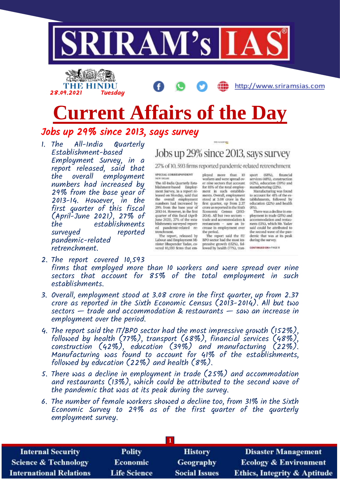



# **Current Affairs of the Day**

### Jobs up 29% since 2013, says survey

1. The All-India Quarterly Establishment-based Employment Survey, in a report released, said that employment numbers had increased by 29% from the base year of 2013-14. However, in the first quarter of this fiscal (April-June 2021), 27% of the establishments surveyed reported pandemic-related retrenchment.

# Jobs up 29% since 2013, says survey

THE AUXILIANCE

27% of 10, 593 firms reported pandemic-related retrenchment

SPECIAL CORRESPONDENT NEW BELIEF

The All-India Quarterly Establishment-hased Employ-<br>ment Survey, in a report released on Monday, said that the overall employment<br>numbers had increased by 29% from the base year of<br>2013-14. However, in the first quarter of this fiscal (April-<br>June 2021), 27% of the establishments surveyed reported pandemic-related retrenchment.

The report, released by Labour and Employment Minister Bhupender Yadav, covered 10,583 firms that em-

ployed more than 10 workers and were spread over nine sectors that account for 85% of the total employment in such establishments. Overall, employment stood at 3.08 crore in the first quarter, up from 2.37 crore as reported in the Sixth Economic Census (2013-2014). All but two sectors Census (2013trade and accommodation & saw an in $r$ estaurants crease in employment over the period.

The report said the IT/ BPO sector had the most impressive growth (152%), followed by health (77%), tran-

 $(68%)$ sport financial services (48%), construction (42%), education (39%) and manufacturing (22%).

Manufacturing was found to account for 41% of the es-<br>tablishments, followed by education (22%) and health  $(8\%)$ 

There was a decline in employment in trade (25%) and<br>accommodation and restaurants (13%), which Mr. Yaday said could be attributed to the second wave of the pan-<br>demic that was at its peak during the survey.

CONTINUED ON A PAGE 8

- 2. The report covered 10,593 firms that employed more than 10 workers and were spread over nine sectors that account for 85% of the total employment in such establishments.
- 3. Overall, employment stood at 3.08 crore in the first quarter, up from 2.37 crore as reported in the Sixth Economic Census (2013-2014). All but two sectors — trade and accommodation & restaurants — saw an increase in employment over the period.
- 4. The report said the IT/BPO sector had the most impressive growth (152%), followed by health (77%), transport (68%), financial services (48%), construction (42%), education (39%) and manufacturing (22%). Manufacturing was found to account for 41% of the establishments, followed by education (22%) and health (8%).
- 5. There was a decline in employment in trade (25%) and accommodation and restaurants (13%), which could be attributed to the second wave of the pandemic that was at its peak during the survey.
- 6. The number of female workers showed a decline too, from 31% in the Sixth Economic Survey to 29% as of the first quarter of the quarterly employment survey.

| <b>Internal Security</b>        | <b>Polity</b>       | <b>History</b>       | <b>Disaster Management</b>              |
|---------------------------------|---------------------|----------------------|-----------------------------------------|
| <b>Science &amp; Technology</b> | <b>Economic</b>     | <b>Geography</b>     | <b>Ecology &amp; Environment</b>        |
| <b>International Relations</b>  | <b>Life Science</b> | <b>Social Issues</b> | <b>Ethics, Integrity &amp; Aptitude</b> |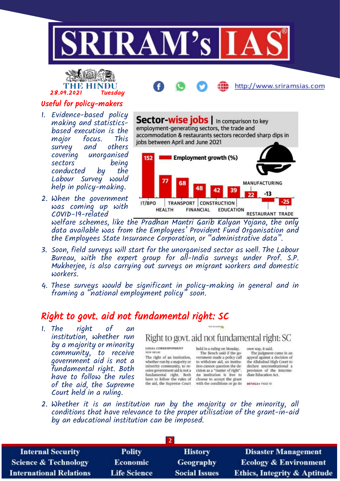



### Useful for policy-makers

- 1. Evidence-based policy making and statisticsbased execution is the major focus. This survey and others covering unorganised sectors being conducted by the Labour Survey would help in policy-making.
- 2. When the government was coming up with COVID-19-related



welfare schemes, like the Pradhan Mantri Garib Kalyan Yojana, the only data available was from the Employees' Provident Fund Organisation and the Employees State Insurance Corporation, or "administrative data".

- 3. Soon, field surveys will start for the unorganised sector as well. The Labour Bureau, with the expert group for all-India surveys under Prof. S.P. Mukherjee, is also carrying out surveys on migrant workers and domestic workers.
- 4. These surveys would be significant in policy-making in general and in framing a "national employment policy" soon.

### Right to govt. aid not fundamental right: SC

1. The  $right$  of institution, whether run by a majority or minority community, to receive government aid is not a fundamental right. Both have to follow the rules of the aid, the Supreme Court held in a ruling.

### Right to govt. aid not fundamental right: SC

THE MUNICIPALITY

#### LEGAL CORRESPONDENT NEW DIGUIT

The right of an institution, whether run by a majority or minority community, to receive government aid is not a fundamental right. Both have to follow the rules of the aid, the Supreme Court

held in a ruling on Monday.<br>The Bench said if the government made a policy call to withdraw aid, an institution cannot question the decision as a "matter of right". An institution is free to choose to accept the grant with the conditions or go its

own way, it said. The judgment came in an appeal against a decision of the Allahabad High Court to declare unconstitutional a provision of the Intermediate Education Act.

DETAILS + PAGE 10

2. Whether it is an institution run by the majority or the minority, all conditions that have relevance to the proper utilisation of the grant-in-aid by an educational institution can be imposed.

| <b>Internal Security</b>        | <b>Polity</b>       | <b>History</b>       | <b>Disaster Management</b>              |  |
|---------------------------------|---------------------|----------------------|-----------------------------------------|--|
| <b>Science &amp; Technology</b> | <b>Economic</b>     | <b>Geography</b>     | <b>Ecology &amp; Environment</b>        |  |
| <b>International Relations</b>  | <b>Life Science</b> | <b>Social Issues</b> | <b>Ethics, Integrity &amp; Aptitude</b> |  |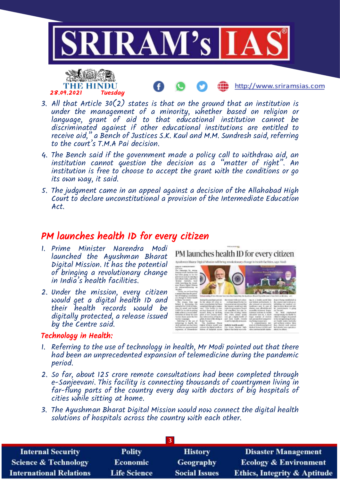

- 3. All that Article 30(2) states is that on the ground that an institution is under the management of a minority, whether based on religion or language, grant of aid to that educational institution cannot be discriminated against if other educational institutions are entitled to receive aid," a Bench of Justices S.K. Kaul and M.M. Sundresh said, referring to the court's T.M.A Pai decision.
- 4. The Bench said if the government made a policy call to withdraw aid, an institution cannot question the decision as a "matter of right". An institution is free to choose to accept the grant with the conditions or go its own way, it said.
- 5. The judgment came in an appeal against a decision of the Allahabad High Court to declare unconstitutional a provision of the Intermediate Education Act.

### PM launches health ID for every citizen

1. Prime Minister Narendra Modi launched the Ayushman Bharat Digital Mission. It has the potential of bringing a revolutionary change in India's health facilities.

28.09.2021 Tuesday

2. Under the mission, every citizen would get a digital health ID and their health records would be digitally protected, a release issued by the Centre said.

#### Technology in Health:

ary channel in health facilities, cars, Mark

PM launches health ID for every citizen



- 1. Referring to the use of technology in health, Mr Modi pointed out that there had been an unprecedented expansion of telemedicine during the pandemic period.
- 2. So far, about 125 crore remote consultations had been completed through e-Sanjeevani. This facility is connecting thousands of countrymen living in far-flung parts of the country every day with doctors of big hospitals of cities while sitting at home.
- 3. The Ayushman Bharat Digital Mission would now connect the digital health solutions of hospitals across the country with each other.

| <b>Internal Security</b>        | <b>Polity</b>       | <b>History</b>       | <b>Disaster Management</b>              |  |
|---------------------------------|---------------------|----------------------|-----------------------------------------|--|
| <b>Science &amp; Technology</b> | <b>Economic</b>     | Geography            | <b>Ecology &amp; Environment</b>        |  |
| <b>International Relations</b>  | <b>Life Science</b> | <b>Social Issues</b> | <b>Ethics, Integrity &amp; Aptitude</b> |  |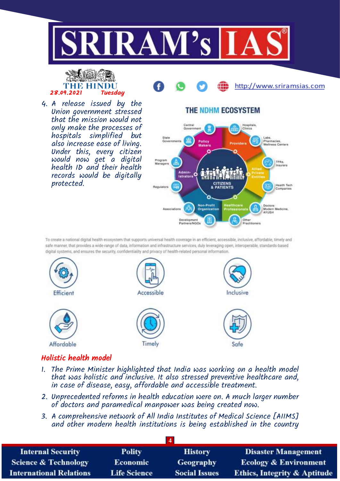



4. A release issued by the Union government stressed that the mission would not only make the processes of hospitals simplified but also increase ease of living. Under this, every citizen would now get a digital health ID and their health records would be digitally protected.

### THE NDHM ECOSYSTEM

http://www.sriramsias.com



To create a national digital health ecosystem that supports universal health coverage in an efficient, accessible, inclusive, affordable, timely and safe manner, that provides a wide-range of data, information and infrastructure services, duly leveraging open, interoperable, standards-based digital systems, and ensures the security, confidentiality and privacy of health-related personal information



### Holistic health model

- 1. The Prime Minister highlighted that India was working on a health model that was holistic and inclusive. It also stressed preventive healthcare and, in case of disease, easy, affordable and accessible treatment.
- 2. Unprecedented reforms in health education were on. A much larger number of doctors and paramedical manpower was being created now.
- 3. A comprehensive network of All India Institutes of Medical Science [AIIMS] and other modern health institutions is being established in the country

| <b>Internal Security</b>        | <b>Polity</b>       | <b>History</b>       | <b>Disaster Management</b>              |  |
|---------------------------------|---------------------|----------------------|-----------------------------------------|--|
| <b>Science &amp; Technology</b> | <b>Economic</b>     | <b>Geography</b>     | <b>Ecology &amp; Environment</b>        |  |
| <b>International Relations</b>  | <b>Life Science</b> | <b>Social Issues</b> | <b>Ethics, Integrity &amp; Aptitude</b> |  |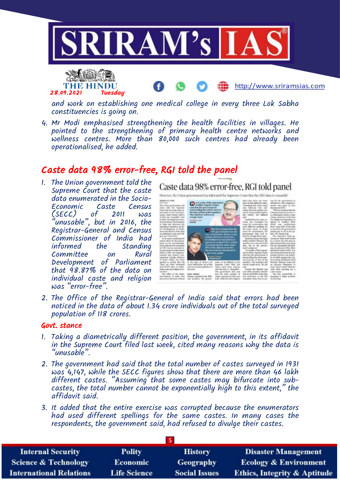



and work on establishing one medical college in every three Lok Sabha constituencies is going on.

4. Mr Modi emphasised strengthening the health facilities in villages. He pointed to the strengthening of primary health centre networks and wellness centres. More than 80,000 such centres had already been operationalised, he added.

### Caste data 98% error-free, RGI told the panel

1. The Union government told the Supreme Court that the caste data enumerated in the Socio-<br>Economic Caste Census Economic Caste Census  $(SECC)$  of 2011 was "unusable", but in 2016, the Registrar-General and Census Commissioner of India had informed the Standing Committee on Development of Parliament that 98.87% of the data on individual caste and religion was "error-free".

### Caste data 98% error-free, RGI told panel

However, the Union government has informed the Sunterne Court that the 200 data is 'or



2. The Office of the Registrar-General of India said that errors had been noticed in the data of about 1.34 crore individuals out of the total surveyed population of 118 crores.

#### Govt. stance

- 1. Taking a diametrically different position, the government, in its affidavit in the Supreme Court filed last week, cited many reasons why the data is "unusable".
- 2. The government had said that the total number of castes surveyed in 1931 was 4,147, while the SECC figures show that there are more than 46 lakh different castes. "Assuming that some castes may bifurcate into subcastes, the total number cannot be exponentially high to this extent," the affidavit said.
- 3. It added that the entire exercise was corrupted because the enumerators had used different spellings for the same castes. In many cases the respondents, the government said, had refused to divulge their castes.

| <b>Internal Security</b>        | <b>Polity</b>       | <b>History</b>       | <b>Disaster Management</b>              |  |
|---------------------------------|---------------------|----------------------|-----------------------------------------|--|
| <b>Science &amp; Technology</b> | <b>Economic</b>     | <b>Geography</b>     | <b>Ecology &amp; Environment</b>        |  |
| <b>International Relations</b>  | <b>Life Science</b> | <b>Social Issues</b> | <b>Ethics, Integrity &amp; Aptitude</b> |  |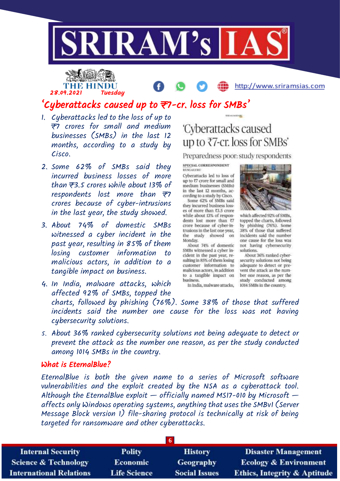

## THE HINDU 28.09.2021 Tuesday

### http://www.sriramsias.com

### 'Cyberattacks caused up to ₹7-cr. loss for SMBs'

- 1. Cyberattacks led to the loss of up to ₹7 crores for small and medium businesses (SMBs) in the last 12 months, according to a study by Cisco.
- 2. Some 62% of SMBs said they incurred business losses of more than  $\overline{z}$ 3.5 crores while about 13% of respondents lost more than  $\overline{z}$ crores because of cyber-intrusions in the last year, the study showed.
- 3. About 74% of domestic SMBs witnessed a cyber incident in the past year, resulting in 85% of them losing customer information to malicious actors, in addition to a tangible impact on business.

# 'Cyberattacks caused up to ₹7-cr. loss for SMBs'

THE SUNHINGS

Preparedness poor: study respondents

SPECIAL CORRESPONDENT **BENGALURU** 

Cyberattacks led to loss of up to ₹7 crore for small and medium businesses (SMBs) in the last 12 months, according to a study by Cisco. Some 62% of SMBs said they incurred business losses of more than ₹3.5 crore while about 13% of respondents lost more than ₹7 crore because of cyber-in-

trusions in the last one year, the study showed on Monday. About 74% of domestic SMBs witnessed a cyber in-

cident in the past year, resulting in 85% of them losing customer information to malicious actors, in addition to a tangible impact on business

In India, malware attacks,



which affected 92% of SMBs, topped the charts, followed by phishing (76%). Some 38% of those that suffered incidents said the number one cause for the loss was not having cybersecurity solutions.

About 36% ranked cybersecurity solutions not being adequate to detect or prevent the attack as the number one reason, as per the study conducted among 1014 SMBs in the country.

- 4. In India, malware attacks, which affected 92% of SMBs, topped the charts, followed by phishing (76%). Some 38% of those that suffered incidents said the number one cause for the loss was not having cybersecurity solutions.
- 5. About 36% ranked cybersecurity solutions not being adequate to detect or prevent the attack as the number one reason, as per the study conducted among 1014 SMBs in the country.

#### What is EternalBlue?

EternalBlue is both the given name to a series of Microsoft software vulnerabilities and the exploit created by the NSA as a cyberattack tool. Although the EternalBlue exploit  $-$  officially named MS17-010 by Microsoft  $$ affects only Windows operating systems, anything that uses the SMBv1 (Server Message Block version 1) file-sharing protocol is technically at risk of being targeted for ransomware and other cyberattacks.

| <b>Internal Security</b>        | <b>Polity</b>       | <b>History</b>       | <b>Disaster Management</b>              |  |
|---------------------------------|---------------------|----------------------|-----------------------------------------|--|
| <b>Science &amp; Technology</b> | <b>Economic</b>     | <b>Geography</b>     | <b>Ecology &amp; Environment</b>        |  |
| <b>International Relations</b>  | <b>Life Science</b> | <b>Social Issues</b> | <b>Ethics, Integrity &amp; Aptitude</b> |  |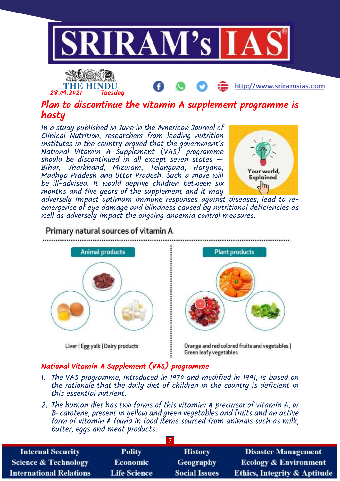



### Plan to discontinue the vitamin A supplement programme is hasty

In a study published in June in the American Journal of Clinical Nutrition, researchers from leading nutrition institutes in the country argued that the government's National Vitamin A Supplement (VAS) programme should be discontinued in all except seven states  $-$ Bihar, Jharkhand, Mizoram, Telangana, Haryana, Madhya Pradesh and Uttar Pradesh. Such a move will be ill-advised. It would deprive children between six months and five years of the supplement and it may



..................................

adversely impact optimum immune responses against diseases, lead to reemergence of eye damage and blindness caused by nutritional deficiencies as well as adversely impact the ongoing anaemia control measures.



### Primary natural sources of vitamin A



Orange and red colored fruits and vegetables | Green leafy vegetables

### National Vitamin A Supplement (VAS) programme

- 1. The VAS programme, introduced in 1970 and modified in 1991, is based on the rationale that the daily diet of children in the country is deficient in this essential nutrient.
- 2. The human diet has two forms of this vitamin: A precursor of vitamin A, or B-carotene, present in yellow and green vegetables and fruits and an active form of vitamin A found in food items sourced from animals such as milk, butter, eggs and meat products.

| <b>Internal Security</b>       | <b>Polity</b>       | <b>History</b>       | <b>Disaster Management</b>              |  |
|--------------------------------|---------------------|----------------------|-----------------------------------------|--|
| Science & Technology           | <b>Economic</b>     | <b>Geography</b>     | <b>Ecology &amp; Environment</b>        |  |
| <b>International Relations</b> | <b>Life Science</b> | <b>Social Issues</b> | <b>Ethics, Integrity &amp; Aptitude</b> |  |